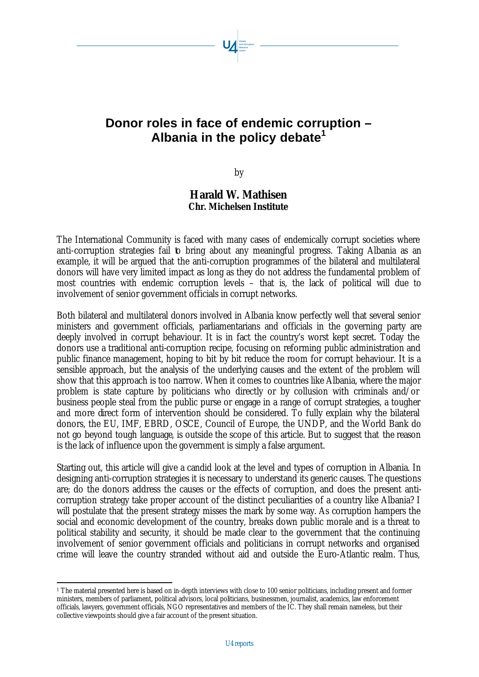# **Donor roles in face of endemic corruption – Albania in the policy debate<sup>1</sup>**

by

## **Harald W. Mathisen Chr. Michelsen Institute**

The International Community is faced with many cases of endemically corrupt societies where anti-corruption strategies fail to bring about any meaningful progress. Taking Albania as an example, it will be argued that the anti-corruption programmes of the bilateral and multilateral donors will have very limited impact as long as they do not address the fundamental problem of most countries with endemic corruption levels – that is, the lack of political will due to involvement of senior government officials in corrupt networks.

Both bilateral and multilateral donors involved in Albania know perfectly well that several senior ministers and government officials, parliamentarians and officials in the governing party are deeply involved in corrupt behaviour. It is in fact the country's worst kept secret. Today the donors use a traditional anti-corruption recipe, focusing on reforming public administration and public finance management, hoping to bit by bit reduce the room for corrupt behaviour. It is a sensible approach, but the analysis of the underlying causes and the extent of the problem will show that this approach is too narrow. When it comes to countries like Albania, where the major problem is state capture by politicians who directly or by collusion with criminals and/or business people steal from the public purse or engage in a range of corrupt strategies, a tougher and more direct form of intervention should be considered. To fully explain why the bilateral donors, the EU, IMF, EBRD, OSCE, Council of Europe, the UNDP, and the World Bank do not go beyond tough language, is outside the scope of this article. But to suggest that the reason is the lack of influence upon the government is simply a false argument.

Starting out, this article will give a candid look at the level and types of corruption in Albania. In designing anti-corruption strategies it is necessary to understand its generic causes. The questions are; do the donors address the causes or the effects of corruption, and does the present anticorruption strategy take proper account of the distinct peculiarities of a country like Albania? I will postulate that the present strategy misses the mark by some way. As corruption hampers the social and economic development of the country, breaks down public morale and is a threat to political stability and security, it should be made clear to the government that the continuing involvement of senior government officials and politicians in corrupt networks and organised crime will leave the country stranded without aid and outside the Euro-Atlantic realm. Thus,

l 1 The material presented here is based on in-depth interviews with close to 100 senior politicians, including present and former ministers, members of parliament, political advisors, local politicians, businessmen, journalist, academics, law enforcement officials, lawyers, government officials, NGO representatives and members of the IC. They shall remain nameless, but their collective viewpoints should give a fair account of the present situation.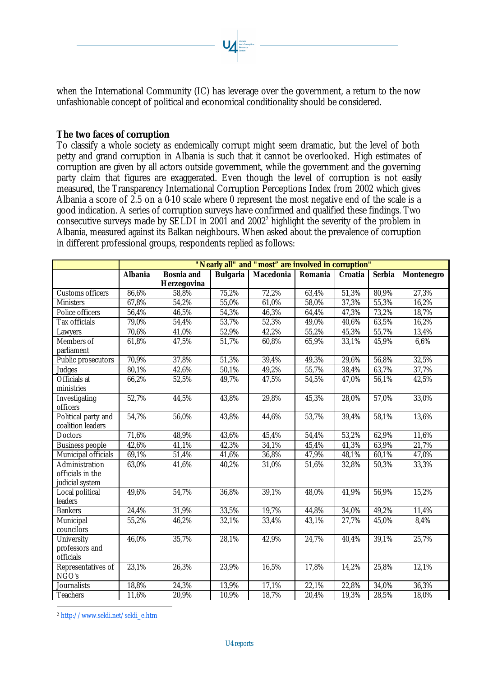when the International Community (IC) has leverage over the government, a return to the now unfashionable concept of political and economical conditionality should be considered.

#### **The two faces of corruption**

To classify a whole society as endemically corrupt might seem dramatic, but the level of both petty and grand corruption in Albania is such that it cannot be overlooked. High estimates of corruption are given by all actors outside government, while the government and the governing party claim that figures are exaggerated. Even though the level of corruption is not easily measured, the Transparency International Corruption Perceptions Index from 2002 which gives Albania a score of 2.5 on a 0-10 scale where 0 represent the most negative end of the scale is a good indication. A series of corruption surveys have confirmed and qualified these findings. Two consecutive surveys made by SELDI in 2001 and  $2002^2$  highlight the severity of the problem in Albania, measured against its Balkan neighbours. When asked about the prevalence of corruption in different professional groups, respondents replied as follows:

|                                                       | "Nearly all" and "most" are involved in corruption" |                                  |                 |                  |                |                |               |                   |
|-------------------------------------------------------|-----------------------------------------------------|----------------------------------|-----------------|------------------|----------------|----------------|---------------|-------------------|
|                                                       | <b>Albania</b>                                      | <b>Bosnia</b> and<br>Herzegovina | <b>Bulgaria</b> | <b>Macedonia</b> | <b>Romania</b> | <b>Croatia</b> | <b>Serbia</b> | <b>Montenegro</b> |
| Customs officers                                      | 86,6%                                               | 58,8%                            | 75,2%           | 72,2%            | 63,4%          | 51,3%          | 80,9%         | 27,3%             |
| <b>Ministers</b>                                      | 67,8%                                               | 54,2%                            | 55,0%           | 61,0%            | 58,0%          | 37,3%          | 55,3%         | 16,2%             |
| Police officers                                       | 56,4%                                               | 46,5%                            | 54,3%           | 46,3%            | 64,4%          | 47,3%          | 73,2%         | 18,7%             |
| Tax officials                                         | 79,0%                                               | 54,4%                            | 53,7%           | 52,3%            | 49,0%          | 40,6%          | 63,5%         | 16,2%             |
| Lawyers                                               | 70,6%                                               | 41,0%                            | 52,9%           | 42,2%            | 55,2%          | 45,3%          | 55,7%         | 13,4%             |
| Members of<br>parliament                              | 61,8%                                               | 47,5%                            | 51,7%           | 60,8%            | 65,9%          | 33,1%          | 45,9%         | 6,6%              |
| Public prosecutors                                    | 70,9%                                               | 37,8%                            | 51,3%           | 39,4%            | 49,3%          | 29,6%          | 56,8%         | 32,5%             |
| Judges                                                | 80,1%                                               | 42,6%                            | 50,1%           | 49,2%            | 55,7%          | 38,4%          | 63,7%         | 37,7%             |
| Officials at<br>ministries                            | 66,2%                                               | 52,5%                            | 49,7%           | 47,5%            | 54,5%          | 47,0%          | 56,1%         | 42,5%             |
| Investigating<br>officers                             | 52,7%                                               | 44,5%                            | 43,8%           | 29,8%            | 45,3%          | 28,0%          | 57,0%         | 33,0%             |
| Political party and<br>coalition leaders              | 54,7%                                               | 56,0%                            | 43,8%           | 44,6%            | 53,7%          | 39,4%          | 58,1%         | 13,6%             |
| Doctors                                               | 71,6%                                               | 48,9%                            | 43,6%           | 45,4%            | 54,4%          | 53,2%          | 62,9%         | 11,6%             |
| <b>Business people</b>                                | 42,6%                                               | 41,1%                            | 42,3%           | 34,1%            | 45,4%          | 41,3%          | 63,9%         | 21,7%             |
| Municipal officials                                   | 69,1%                                               | 51,4%                            | 41,6%           | 36,8%            | 47,9%          | 48,1%          | 60,1%         | 47,0%             |
| Administration<br>officials in the<br>judicial system | 63,0%                                               | 41,6%                            | 40,2%           | 31,0%            | 51,6%          | 32,8%          | 50,3%         | 33,3%             |
| Local political<br>leaders                            | 49,6%                                               | 54,7%                            | 36,8%           | 39,1%            | 48,0%          | 41,9%          | 56,9%         | 15,2%             |
| <b>Bankers</b>                                        | 24,4%                                               | 31,9%                            | 33,5%           | 19,7%            | 44,8%          | 34,0%          | 49,2%         | 11,4%             |
| Municipal<br>councilors                               | 55,2%                                               | 46,2%                            | 32,1%           | 33,4%            | 43,1%          | 27,7%          | 45,0%         | 8,4%              |
| University<br>professors and<br>officials             | 46,0%                                               | 35,7%                            | 28,1%           | 42,9%            | 24,7%          | 40,4%          | 39,1%         | 25,7%             |
| Representatives of<br>NGO's                           | 23,1%                                               | 26,3%                            | 23,9%           | 16,5%            | 17,8%          | 14,2%          | 25,8%         | 12,1%             |
| Journalists                                           | 18,8%                                               | 24,3%                            | 13,9%           | 17,1%            | 22,1%          | 22,8%          | 34,0%         | 36,3%             |
| <b>Teachers</b>                                       | 11,6%                                               | 20,9%                            | 10,9%           | 18,7%            | 20,4%          | 19,3%          | 28,5%         | 18,0%             |

<sup>2</sup> http://www.seldi.net/seldi\_e.htm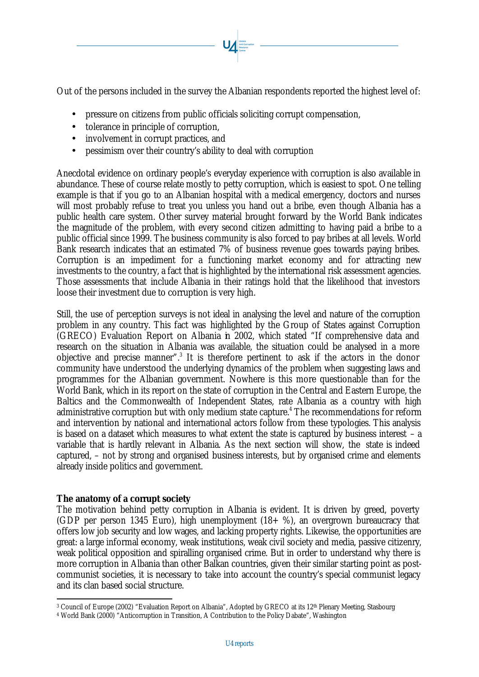Out of the persons included in the survey the Albanian respondents reported the highest level of:

- pressure on citizens from public officials soliciting corrupt compensation,
- tolerance in principle of corruption,
- involvement in corrupt practices, and
- pessimism over their country's ability to deal with corruption

Anecdotal evidence on ordinary people's everyday experience with corruption is also available in abundance. These of course relate mostly to petty corruption, which is easiest to spot. One telling example is that if you go to an Albanian hospital with a medical emergency, doctors and nurses will most probably refuse to treat you unless you hand out a bribe, even though Albania has a public health care system. Other survey material brought forward by the World Bank indicates the magnitude of the problem, with every second citizen admitting to having paid a bribe to a public official since 1999. The business community is also forced to pay bribes at all levels. World Bank research indicates that an estimated 7% of business revenue goes towards paying bribes. Corruption is an impediment for a functioning market economy and for attracting new investments to the country, a fact that is highlighted by the international risk assessment agencies. Those assessments that include Albania in their ratings hold that the likelihood that investors loose their investment due to corruption is very high.

Still, the use of perception surveys is not ideal in analysing the level and nature of the corruption problem in any country. This fact was highlighted by the Group of States against Corruption (GRECO) Evaluation Report on Albania in 2002, which stated "If comprehensive data and research on the situation in Albania was available, the situation could be analysed in a more objective and precise manner".<sup>3</sup> It is therefore pertinent to ask if the actors in the donor community have understood the underlying dynamics of the problem when suggesting laws and programmes for the Albanian government. Nowhere is this more questionable than for the World Bank, which in its report on the state of corruption in the Central and Eastern Europe, the Baltics and the Commonwealth of Independent States, rate Albania as a country with high administrative corruption but with only medium state capture.<sup>4</sup> The recommendations for reform and intervention by national and international actors follow from these typologies. This analysis is based on a dataset which measures to what extent the state is captured by business interest – a variable that is hardly relevant in Albania. As the next section will show, the state is indeed captured, – not by strong and organised business interests, but by organised crime and elements already inside politics and government.

## **The anatomy of a corrupt society**

The motivation behind petty corruption in Albania is evident. It is driven by greed, poverty (GDP per person 1345 Euro), high unemployment  $(18+ %)$ , an overgrown bureaucracy that offers low job security and low wages, and lacking property rights. Likewise, the opportunities are great: a large informal economy, weak institutions, weak civil society and media, passive citizenry, weak political opposition and spiralling organised crime. But in order to understand why there is more corruption in Albania than other Balkan countries, given their similar starting point as postcommunist societies, it is necessary to take into account the country's special communist legacy and its clan based social structure.

l 3 Council of Europe (2002) "Evaluation Report on Albania", Adopted by GRECO at its 12th Plenary Meeting, Stasbourg

<sup>4</sup> World Bank (2000) "Anticorruption in Transition, A Contribution to the Policy Dabate", Washington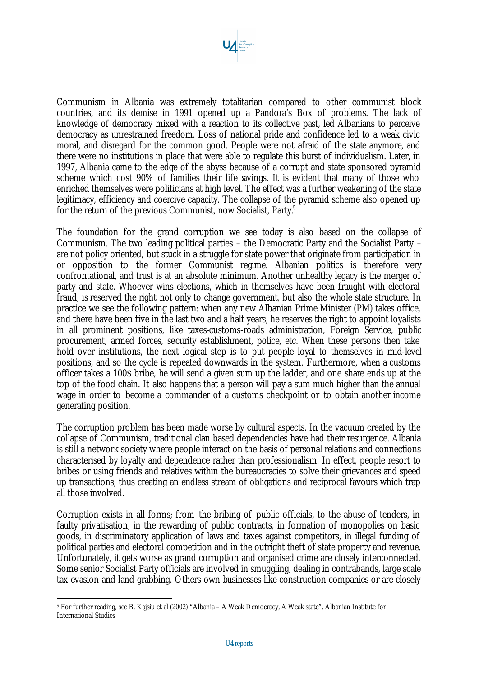Communism in Albania was extremely totalitarian compared to other communist block countries, and its demise in 1991 opened up a Pandora's Box of problems. The lack of knowledge of democracy mixed with a reaction to its collective past, led Albanians to perceive democracy as unrestrained freedom. Loss of national pride and confidence led to a weak civic moral, and disregard for the common good. People were not afraid of the state anymore, and there were no institutions in place that were able to regulate this burst of individualism. Later, in 1997, Albania came to the edge of the abyss because of a corrupt and state sponsored pyramid scheme which cost 90% of families their life savings. It is evident that many of those who enriched themselves were politicians at high level. The effect was a further weakening of the state legitimacy, efficiency and coercive capacity. The collapse of the pyramid scheme also opened up for the return of the previous Communist, now Socialist, Party.<sup>5</sup>

The foundation for the grand corruption we see today is also based on the collapse of Communism. The two leading political parties – the Democratic Party and the Socialist Party – are not policy oriented, but stuck in a struggle for state power that originate from participation in or opposition to the former Communist regime. Albanian politics is therefore very confrontational, and trust is at an absolute minimum. Another unhealthy legacy is the merger of party and state. Whoever wins elections, which in themselves have been fraught with electoral fraud, is reserved the right not only to change government, but also the whole state structure. In practice we see the following pattern: when any new Albanian Prime Minister (PM) takes office, and there have been five in the last two and a half years, he reserves the right to appoint loyalists in all prominent positions, like taxes-customs-roads administration, Foreign Service, public procurement, armed forces, security establishment, police, etc. When these persons then take hold over institutions, the next logical step is to put people loyal to themselves in mid-level positions, and so the cycle is repeated downwards in the system. Furthermore, when a customs officer takes a 100\$ bribe, he will send a given sum up the ladder, and one share ends up at the top of the food chain. It also happens that a person will pay a sum much higher than the annual wage in order to become a commander of a customs checkpoint or to obtain another income generating position.

The corruption problem has been made worse by cultural aspects. In the vacuum created by the collapse of Communism, traditional clan based dependencies have had their resurgence. Albania is still a network society where people interact on the basis of personal relations and connections characterised by loyalty and dependence rather than professionalism. In effect, people resort to bribes or using friends and relatives within the bureaucracies to solve their grievances and speed up transactions, thus creating an endless stream of obligations and reciprocal favours which trap all those involved.

Corruption exists in all forms; from the bribing of public officials, to the abuse of tenders, in faulty privatisation, in the rewarding of public contracts, in formation of monopolies on basic goods, in discriminatory application of laws and taxes against competitors, in illegal funding of political parties and electoral competition and in the outright theft of state property and revenue. Unfortunately, it gets worse as grand corruption and organised crime are closely interconnected. Some senior Socialist Party officials are involved in smuggling, dealing in contrabands, large scale tax evasion and land grabbing. Others own businesses like construction companies or are closely

l 5 For further reading, see B. Kajsiu et al (2002) "Albania – A Weak Democracy, A Weak state". Albanian Institute for International Studies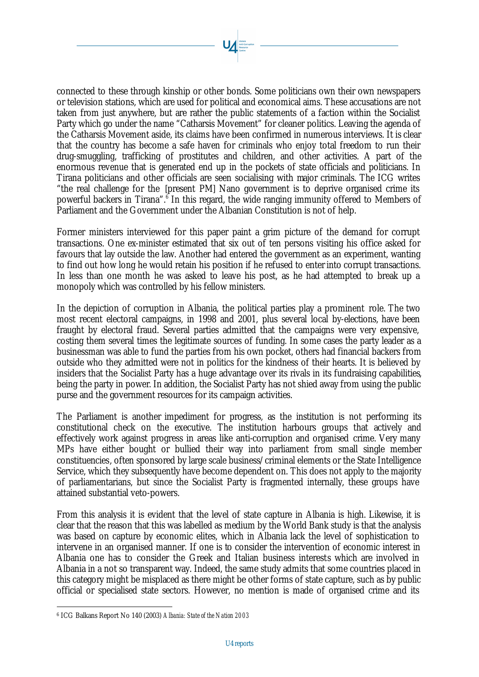connected to these through kinship or other bonds. Some politicians own their own newspapers or television stations, which are used for political and economical aims. These accusations are not taken from just anywhere, but are rather the public statements of a faction within the Socialist Party which go under the name "Catharsis Movement" for cleaner politics. Leaving the agenda of the Catharsis Movement aside, its claims have been confirmed in numerous interviews. It is clear that the country has become a safe haven for criminals who enjoy total freedom to run their drug-smuggling, trafficking of prostitutes and children, and other activities. A part of the enormous revenue that is generated end up in the pockets of state officials and politicians. In Tirana politicians and other officials are seen socialising with major criminals. The ICG writes "the real challenge for the [present PM] Nano government is to deprive organised crime its powerful backers in Tirana".<sup>6</sup> In this regard, the wide ranging immunity offered to Members of Parliament and the Government under the Albanian Constitution is not of help.

Former ministers interviewed for this paper paint a grim picture of the demand for corrupt transactions. One ex-minister estimated that six out of ten persons visiting his office asked for favours that lay outside the law. Another had entered the government as an experiment, wanting to find out how long he would retain his position if he refused to enter into corrupt transactions. In less than one month he was asked to leave his post, as he had attempted to break up a monopoly which was controlled by his fellow ministers.

In the depiction of corruption in Albania, the political parties play a prominent role. The two most recent electoral campaigns, in 1998 and 2001, plus several local by-elections, have been fraught by electoral fraud. Several parties admitted that the campaigns were very expensive, costing them several times the legitimate sources of funding. In some cases the party leader as a businessman was able to fund the parties from his own pocket, others had financial backers from outside who they admitted were not in politics for the kindness of their hearts. It is believed by insiders that the Socialist Party has a huge advantage over its rivals in its fundraising capabilities, being the party in power. In addition, the Socialist Party has not shied away from using the public purse and the government resources for its campaign activities.

The Parliament is another impediment for progress, as the institution is not performing its constitutional check on the executive. The institution harbours groups that actively and effectively work against progress in areas like anti-corruption and organised crime. Very many MPs have either bought or bullied their way into parliament from small single member constituencies, often sponsored by large scale business/criminal elements or the State Intelligence Service, which they subsequently have become dependent on. This does not apply to the majority of parliamentarians, but since the Socialist Party is fragmented internally, these groups have attained substantial veto-powers.

From this analysis it is evident that the level of state capture in Albania is high. Likewise, it is clear that the reason that this was labelled as medium by the World Bank study is that the analysis was based on capture by economic elites, which in Albania lack the level of sophistication to intervene in an organised manner. If one is to consider the intervention of economic interest in Albania one has to consider the Greek and Italian business interests which are involved in Albania in a not so transparent way. Indeed, the same study admits that some countries placed in this category might be misplaced as there might be other forms of state capture, such as by public official or specialised state sectors. However, no mention is made of organised crime and its

<sup>6</sup> ICG Balkans Report No 140 (2003) *Albania: State of the Nation 2003*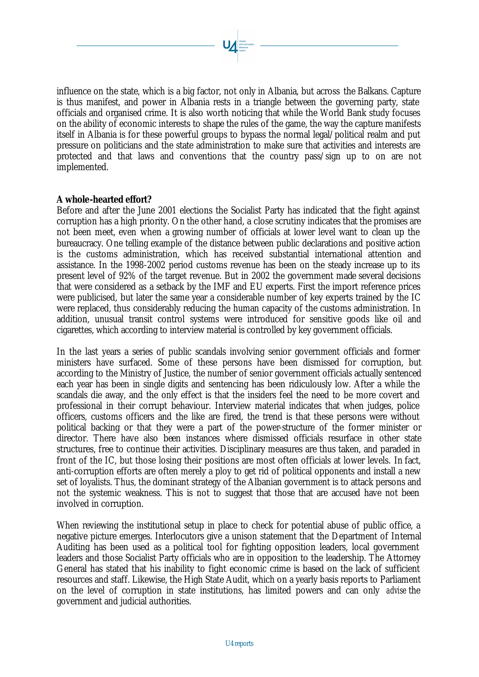influence on the state, which is a big factor, not only in Albania, but across the Balkans. Capture is thus manifest, and power in Albania rests in a triangle between the governing party, state officials and organised crime. It is also worth noticing that while the World Bank study focuses on the ability of economic interests to shape the rules of the game, the way the capture manifests itself in Albania is for these powerful groups to bypass the normal legal/political realm and put pressure on politicians and the state administration to make sure that activities and interests are protected and that laws and conventions that the country pass/sign up to on are not implemented.

## **A whole-hearted effort?**

Before and after the June 2001 elections the Socialist Party has indicated that the fight against corruption has a high priority. On the other hand, a close scrutiny indicates that the promises are not been meet, even when a growing number of officials at lower level want to clean up the bureaucracy. One telling example of the distance between public declarations and positive action is the customs administration, which has received substantial international attention and assistance. In the 1998-2002 period customs revenue has been on the steady increase up to its present level of 92% of the target revenue. But in 2002 the government made several decisions that were considered as a setback by the IMF and EU experts. First the import reference prices were publicised, but later the same year a considerable number of key experts trained by the IC were replaced, thus considerably reducing the human capacity of the customs administration. In addition, unusual transit control systems were introduced for sensitive goods like oil and cigarettes, which according to interview material is controlled by key government officials.

In the last years a series of public scandals involving senior government officials and former ministers have surfaced. Some of these persons have been dismissed for corruption, but according to the Ministry of Justice, the number of senior government officials actually sentenced each year has been in single digits and sentencing has been ridiculously low. After a while the scandals die away, and the only effect is that the insiders feel the need to be more covert and professional in their corrupt behaviour. Interview material indicates that when judges, police officers, customs officers and the like are fired, the trend is that these persons were without political backing or that they were a part of the power-structure of the former minister or director. There have also been instances where dismissed officials resurface in other state structures, free to continue their activities. Disciplinary measures are thus taken, and paraded in front of the IC, but those losing their positions are most often officials at lower levels. In fact, anti-corruption efforts are often merely a ploy to get rid of political opponents and install a new set of loyalists. Thus, the dominant strategy of the Albanian government is to attack persons and not the systemic weakness. This is not to suggest that those that are accused have not been involved in corruption.

When reviewing the institutional setup in place to check for potential abuse of public office, a negative picture emerges. Interlocutors give a unison statement that the Department of Internal Auditing has been used as a political tool for fighting opposition leaders, local government leaders and those Socialist Party officials who are in opposition to the leadership. The Attorney General has stated that his inability to fight economic crime is based on the lack of sufficient resources and staff. Likewise, the High State Audit, which on a yearly basis reports to Parliament on the level of corruption in state institutions, has limited powers and can only *advise* the government and judicial authorities.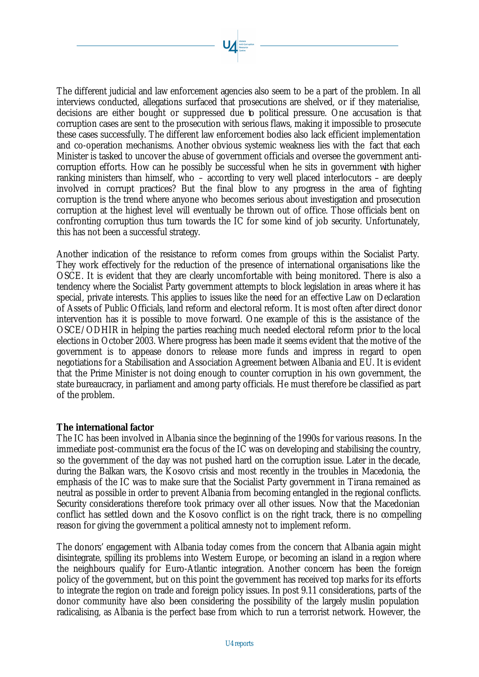The different judicial and law enforcement agencies also seem to be a part of the problem. In all interviews conducted, allegations surfaced that prosecutions are shelved, or if they materialise, decisions are either bought or suppressed due to political pressure. One accusation is that corruption cases are sent to the prosecution with serious flaws, making it impossible to prosecute these cases successfully. The different law enforcement bodies also lack efficient implementation and co-operation mechanisms. Another obvious systemic weakness lies with the fact that each Minister is tasked to uncover the abuse of government officials and oversee the government anticorruption efforts. How can he possibly be successful when he sits in government with higher ranking ministers than himself, who – according to very well placed interlocutors – are deeply involved in corrupt practices? But the final blow to any progress in the area of fighting corruption is the trend where anyone who becomes serious about investigation and prosecution corruption at the highest level will eventually be thrown out of office. Those officials bent on confronting corruption thus turn towards the IC for some kind of job security. Unfortunately, this has not been a successful strategy.

Another indication of the resistance to reform comes from groups within the Socialist Party. They work effectively for the reduction of the presence of international organisations like the OSCE. It is evident that they are clearly uncomfortable with being monitored. There is also a tendency where the Socialist Party government attempts to block legislation in areas where it has special, private interests. This applies to issues like the need for an effective Law on Declaration of Assets of Public Officials, land reform and electoral reform. It is most often after direct donor intervention has it is possible to move forward. One example of this is the assistance of the OSCE/ODHIR in helping the parties reaching much needed electoral reform prior to the local elections in October 2003. Where progress has been made it seems evident that the motive of the government is to appease donors to release more funds and impress in regard to open negotiations for a Stabilisation and Association Agreement between Albania and EU. It is evident that the Prime Minister is not doing enough to counter corruption in his own government, the state bureaucracy, in parliament and among party officials. He must therefore be classified as part of the problem.

### **The international factor**

The IC has been involved in Albania since the beginning of the 1990s for various reasons. In the immediate post-communist era the focus of the IC was on developing and stabilising the country, so the government of the day was not pushed hard on the corruption issue. Later in the decade, during the Balkan wars, the Kosovo crisis and most recently in the troubles in Macedonia, the emphasis of the IC was to make sure that the Socialist Party government in Tirana remained as neutral as possible in order to prevent Albania from becoming entangled in the regional conflicts. Security considerations therefore took primacy over all other issues. Now that the Macedonian conflict has settled down and the Kosovo conflict is on the right track, there is no compelling reason for giving the government a political amnesty not to implement reform.

The donors' engagement with Albania today comes from the concern that Albania again might disintegrate, spilling its problems into Western Europe, or becoming an island in a region where the neighbours qualify for Euro-Atlantic integration. Another concern has been the foreign policy of the government, but on this point the government has received top marks for its efforts to integrate the region on trade and foreign policy issues. In post 9.11 considerations, parts of the donor community have also been considering the possibility of the largely muslin population radicalising, as Albania is the perfect base from which to run a terrorist network. However, the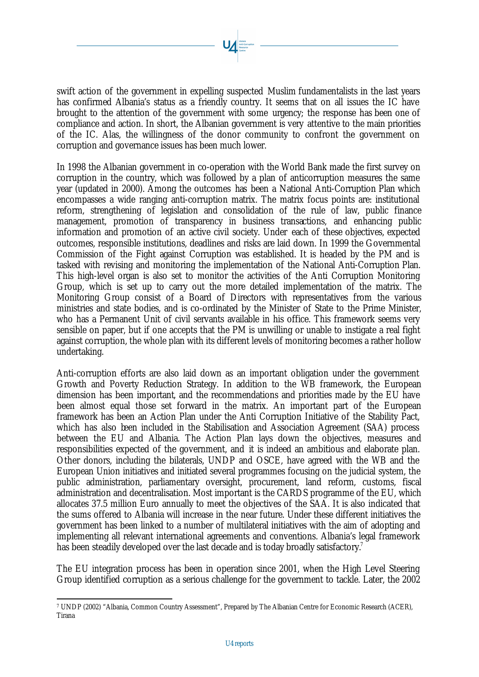swift action of the government in expelling suspected Muslim fundamentalists in the last years has confirmed Albania's status as a friendly country. It seems that on all issues the IC have brought to the attention of the government with some urgency; the response has been one of compliance and action. In short, the Albanian government is very attentive to the main priorities of the IC. Alas, the willingness of the donor community to confront the government on corruption and governance issues has been much lower.

In 1998 the Albanian government in co-operation with the World Bank made the first survey on corruption in the country, which was followed by a plan of anticorruption measures the same year (updated in 2000). Among the outcomes has been a National Anti-Corruption Plan which encompasses a wide ranging anti-corruption matrix. The matrix focus points are: institutional reform, strengthening of legislation and consolidation of the rule of law, public finance management, promotion of transparency in business transactions, and enhancing public information and promotion of an active civil society. Under each of these objectives, expected outcomes, responsible institutions, deadlines and risks are laid down. In 1999 the Governmental Commission of the Fight against Corruption was established. It is headed by the PM and is tasked with revising and monitoring the implementation of the National Anti-Corruption Plan. This high-level organ is also set to monitor the activities of the Anti Corruption Monitoring Group, which is set up to carry out the more detailed implementation of the matrix. The Monitoring Group consist of a Board of Directors with representatives from the various ministries and state bodies, and is co-ordinated by the Minister of State to the Prime Minister, who has a Permanent Unit of civil servants available in his office. This framework seems very sensible on paper, but if one accepts that the PM is unwilling or unable to instigate a real fight against corruption, the whole plan with its different levels of monitoring becomes a rather hollow undertaking.

Anti-corruption efforts are also laid down as an important obligation under the government Growth and Poverty Reduction Strategy. In addition to the WB framework, the European dimension has been important, and the recommendations and priorities made by the EU have been almost equal those set forward in the matrix. An important part of the European framework has been an Action Plan under the Anti Corruption Initiative of the Stability Pact, which has also been included in the Stabilisation and Association Agreement (SAA) process between the EU and Albania. The Action Plan lays down the objectives, measures and responsibilities expected of the government, and it is indeed an ambitious and elaborate plan. Other donors, including the bilaterals, UNDP and OSCE, have agreed with the WB and the European Union initiatives and initiated several programmes focusing on the judicial system, the public administration, parliamentary oversight, procurement, land reform, customs, fiscal administration and decentralisation. Most important is the CARDS programme of the EU, which allocates 37.5 million Euro annually to meet the objectives of the SAA. It is also indicated that the sums offered to Albania will increase in the near future. Under these different initiatives the government has been linked to a number of multilateral initiatives with the aim of adopting and implementing all relevant international agreements and conventions. Albania's legal framework has been steadily developed over the last decade and is today broadly satisfactory.<sup>7</sup>

The EU integration process has been in operation since 2001, when the High Level Steering Group identified corruption as a serious challenge for the government to tackle. Later, the 2002

l 7 UNDP (2002) "Albania, Common Country Assessment", Prepared by The Albanian Centre for Economic Research (ACER), Tirana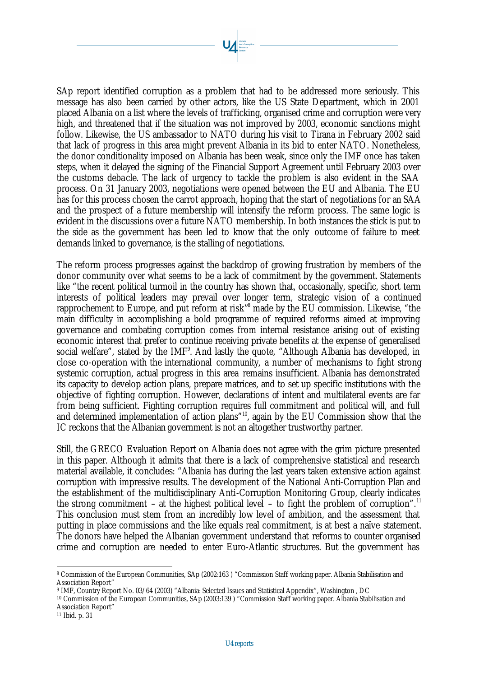SAp report identified corruption as a problem that had to be addressed more seriously. This message has also been carried by other actors, like the US State Department, which in 2001 placed Albania on a list where the levels of trafficking, organised crime and corruption were very high, and threatened that if the situation was not improved by 2003, economic sanctions might follow. Likewise, the US ambassador to NATO during his visit to Tirana in February 2002 said that lack of progress in this area might prevent Albania in its bid to enter NATO. Nonetheless, the donor conditionality imposed on Albania has been weak, since only the IMF once has taken steps, when it delayed the signing of the Financial Support Agreement until February 2003 over the customs deba cle. The lack of urgency to tackle the problem is also evident in the SAA process. On 31 January 2003, negotiations were opened between the EU and Albania. The EU has for this process chosen the carrot approach, hoping that the start of negotiations for an SAA and the prospect of a future membership will intensify the reform process. The same logic is evident in the discussions over a future NATO membership. In both instances the stick is put to the side as the government has been led to know that the only outcome of failure to meet demands linked to governance, is the stalling of negotiations.

The reform process progresses against the backdrop of growing frustration by members of the donor community over what seems to be a lack of commitment by the government. Statements like "the recent political turmoil in the country has shown that, occasionally, specific, short term interests of political leaders may prevail over longer term, strategic vision of a continued rapprochement to Europe, and put reform at risk<sup>78</sup> made by the EU commission. Likewise, "the main difficulty in accomplishing a bold programme of required reforms aimed at improving governance and combating corruption comes from internal resistance arising out of existing economic interest that prefer to continue receiving private benefits at the expense of generalised social welfare", stated by the IMF<sup>9</sup>. And lastly the quote, "Although Albania has developed, in close co-operation with the international community, a number of mechanisms to fight strong systemic corruption, actual progress in this area remains insufficient. Albania has demonstrated its capacity to develop action plans, prepare matrices, and to set up specific institutions with the objective of fighting corruption. However, declarations of intent and multilateral events are far from being sufficient. Fighting corruption requires full commitment and political will, and full and determined implementation of action plans"<sup>10</sup>, again by the EU Commission show that the IC reckons that the Albanian government is not an altogether trustworthy partner.

Still, the GRECO Evaluation Report on Albania does not agree with the grim picture presented in this paper. Although it admits that there is a lack of comprehensive statistical and research material available, it concludes: "Albania has during the last years taken extensive action against corruption with impressive results. The development of the National Anti-Corruption Plan and the establishment of the multidisciplinary Anti-Corruption Monitoring Group, clearly indicates the strong commitment – at the highest political level – to fight the problem of corruption".<sup>11</sup> This conclusion must stem from an incredibly low level of ambition, and the assessment that putting in place commissions and the like equals real commitment, is at best a naïve statement. The donors have helped the Albanian government understand that reforms to counter organised crime and corruption are needed to enter Euro-Atlantic structures. But the government has

<sup>8</sup> Commission of the European Communities, SAp (2002:163 ) "Commission Staff working paper. Albania Stabilisation and Association Report"

<sup>9</sup> IMF, Country Report No. 03/64 (2003) "Albania: Selected Issues and Statistical Appendix", Washington , DC

<sup>10</sup> Commission of the European Communities, SAp (2003:139 ) "Commission Staff working paper. Albania Stabilisation and Association Report"

<sup>11</sup> Ibid. p. 31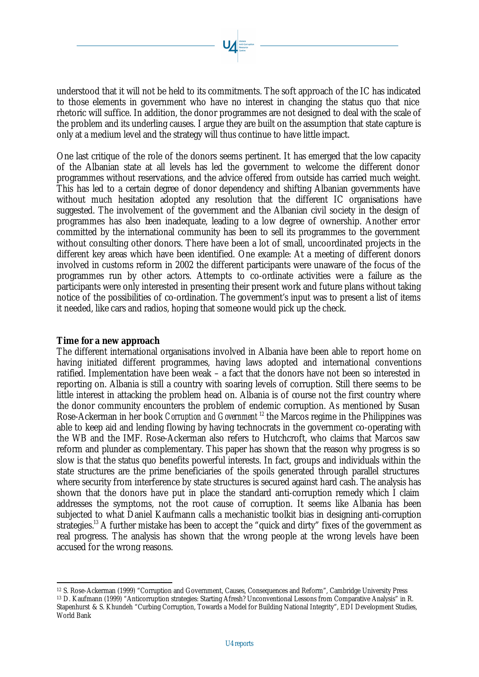understood that it will not be held to its commitments. The soft approach of the IC has indicated to those elements in government who have no interest in changing the status quo that nice rhetoric will suffice. In addition, the donor programmes are not designed to deal with the scale of the problem and its underling causes. I argue they are built on the assumption that state capture is only at a medium level and the strategy will thus continue to have little impact.

One last critique of the role of the donors seems pertinent. It has emerged that the low capacity of the Albanian state at all levels has led the government to welcome the different donor programmes without reservations, and the advice offered from outside has carried much weight. This has led to a certain degree of donor dependency and shifting Albanian governments have without much hesitation adopted any resolution that the different IC organisations have suggested. The involvement of the government and the Albanian civil society in the design of programmes has also been inadequate, leading to a low degree of ownership. Another error committed by the international community has been to sell its programmes to the government without consulting other donors. There have been a lot of small, uncoordinated projects in the different key areas which have been identified. One example: At a meeting of different donors involved in customs reform in 2002 the different participants were unaware of the focus of the programmes run by other actors. Attempts to co-ordinate activities were a failure as the participants were only interested in presenting their present work and future plans without taking notice of the possibilities of co-ordination. The government's input was to present a list of items it needed, like cars and radios, hoping that someone would pick up the check.

### **Time for a new approach**

l

The different international organisations involved in Albania have been able to report home on having initiated different programmes, having laws adopted and international conventions ratified. Implementation have been weak – a fact that the donors have not been so interested in reporting on. Albania is still a country with soaring levels of corruption. Still there seems to be little interest in attacking the problem head on. Albania is of course not the first country where the donor community encounters the problem of endemic corruption. As mentioned by Susan Rose-Ackerman in her book *Corruption and Government* <sup>12</sup> the Marcos regime in the Philippines was able to keep aid and lending flowing by having technocrats in the government co-operating with the WB and the IMF. Rose-Ackerman also refers to Hutchcroft, who claims that Marcos saw reform and plunder as complementary. This paper has shown that the reason why progress is so slow is that the status quo benefits powerful interests. In fact, groups and individuals within the state structures are the prime beneficiaries of the spoils generated through parallel structures where security from interference by state structures is secured against hard cash. The analysis has shown that the donors have put in place the standard anti-corruption remedy which I claim addresses the symptoms, not the root cause of corruption. It seems like Albania has been subjected to what Daniel Kaufmann calls a mechanistic toolkit bias in designing anti-corruption strategies.<sup>13</sup> A further mistake has been to accept the "quick and dirty" fixes of the government as real progress. The analysis has shown that the wrong people at the wrong levels have been accused for the wrong reasons.

<sup>12</sup> S. Rose-Ackerman (1999) "Corruption and Government, Causes, Consequences and Reform", Cambridge University Press <sup>13</sup> D. Kaufmann (1999) "Anticorruption strategies: Starting Afresh? Unconventional Lessons from Comparative Analysis" in R. Stapenhurst & S. Khundeh "Curbing Corruption, Towards a Model for Building National Integrity", EDI Development Studies, World Bank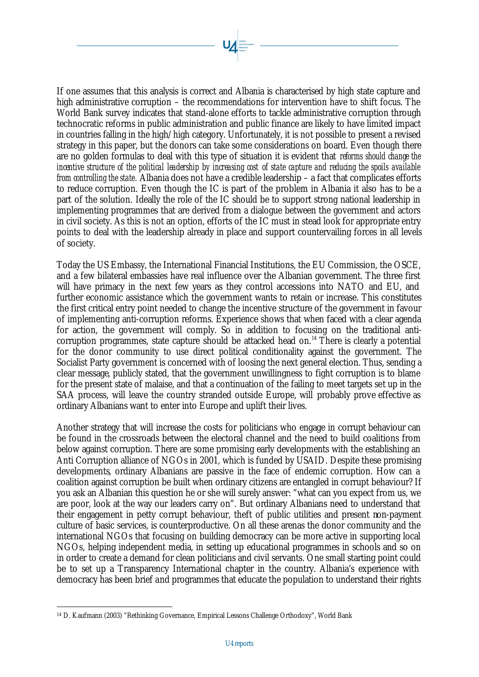If one assumes that this analysis is correct and Albania is characterised by high state capture and high administrative corruption – the recommendations for intervention have to shift focus. The World Bank survey indicates that stand-alone efforts to tackle administrative corruption through technocratic reforms in public administration and public finance are likely to have limited impact in countries falling in the high/high category. Unfortunately, it is not possible to present a revised strategy in this paper, but the donors can take some considerations on board. Even though there are no golden formulas to deal with this type of situation it is evident that *reforms should change the incentive structure of the political leadership by increasing cost of state capture and reducing the spoils available from controlling the state.* Albania does not have a credible leadership – a fact that complicates efforts to reduce corruption. Even though the IC is part of the problem in Albania it also has to be a part of the solution. Ideally the role of the IC should be to support strong national leadership in implementing programmes that are derived from a dialogue between the government and actors in civil society. As this is not an option, efforts of the IC must in stead look for appropriate entry points to deal with the leadership already in place and support countervailing forces in all levels of society.

Today the US Embassy, the International Financial Institutions, the EU Commission, the OSCE, and a few bilateral embassies have real influence over the Albanian government. The three first will have primacy in the next few years as they control accessions into NATO and EU, and further economic assistance which the government wants to retain or increase. This constitutes the first critical entry point needed to change the incentive structure of the government in favour of implementing anti-corruption reforms. Experience shows that when faced with a clear agenda for action, the government will comply. So in addition to focusing on the traditional anticorruption programmes, state capture should be attacked head on.<sup>14</sup> There is clearly a potential for the donor community to use direct political conditionality against the government. The Socialist Party government is concerned with of loosing the next general election. Thus, sending a clear message, publicly stated, that the government unwillingness to fight corruption is to blame for the present state of malaise, and that a continuation of the failing to meet targets set up in the SAA process, will leave the country stranded outside Europe, will probably prove effective as ordinary Albanians want to enter into Europe and uplift their lives.

Another strategy that will increase the costs for politicians who engage in corrupt behaviour can be found in the crossroads between the electoral channel and the need to build coalitions from below against corruption. There are some promising early developments with the establishing an Anti Corruption alliance of NGOs in 2001, which is funded by USAID. Despite these promising developments, ordinary Albanians are passive in the face of endemic corruption. How can a coalition against corruption be built when ordinary citizens are entangled in corrupt behaviour? If you ask an Albanian this question he or she will surely answer: "what can you expect from us, we are poor, look at the way our leaders carry on". But ordinary Albanians need to understand that their engagement in petty corrupt behaviour, theft of public utilities and present non-payment culture of basic services, is counterproductive. On all these arenas the donor community and the international NGOs that focusing on building democracy can be more active in supporting local NGOs, helping independent media, in setting up educational programmes in schools and so on in order to create a demand for clean politicians and civil servants. One small starting point could be to set up a Transparency International chapter in the country. Albania's experience with democracy has been brief and programmes that educate the population to understand their rights

<sup>14</sup> D. Kaufmann (2003) "Rethinking Governance, Empirical Lessons Challenge Orthodoxy", World Bank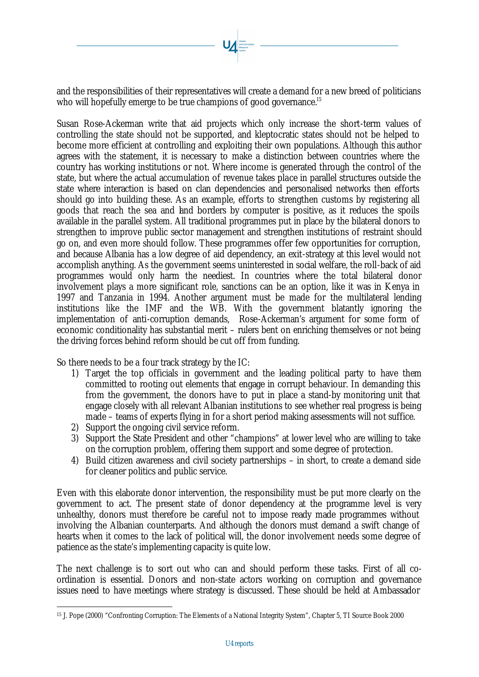and the responsibilities of their representatives will create a demand for a new breed of politicians who will hopefully emerge to be true champions of good governance.<sup>15</sup>

Susan Rose-Ackerman write that aid projects which only increase the short-term values of controlling the state should not be supported, and kleptocratic states should not be helped to become more efficient at controlling and exploiting their own populations. Although this author agrees with the statement, it is necessary to make a distinction between countries where the country has working institutions or not. Where income is generated through the control of the state, but where the actual accumulation of revenue takes place in parallel structures outside the state where interaction is based on clan dependencies and personalised networks then efforts should go into building these. As an example, efforts to strengthen customs by registering all goods that reach the sea and land borders by computer is positive, as it reduces the spoils available in the parallel system. All traditional programmes put in place by the bilateral donors to strengthen to improve public sector management and strengthen institutions of restraint should go on, and even more should follow. These programmes offer few opportunities for corruption, and because Albania has a low degree of aid dependency, an exit-strategy at this level would not accomplish anything. As the government seems uninterested in social welfare, the roll-back of aid programmes would only harm the neediest. In countries where the total bilateral donor involvement plays a more significant role, sanctions can be an option, like it was in Kenya in 1997 and Tanzania in 1994. Another argument must be made for the multilateral lending institutions like the IMF and the WB. With the government blatantly ignoring the implementation of anti-corruption demands, Rose-Ackerman's argument for some form of economic conditionality has substantial merit – rulers bent on enriching themselves or not being the driving forces behind reform should be cut off from funding.

So there needs to be a four track strategy by the IC:

- 1) Target the top officials in government and the leading political party to have them committed to rooting out elements that engage in corrupt behaviour. In demanding this from the government, the donors have to put in place a stand-by monitoring unit that engage closely with all relevant Albanian institutions to see whether real progress is being made – teams of experts flying in for a short period making assessments will not suffice.
- 2) Support the ongoing civil service reform.

l

- 3) Support the State President and other "champions" at lower level who are willing to take on the corruption problem, offering them support and some degree of protection.
- 4) Build citizen awareness and civil society partnerships in short, to create a demand side for cleaner politics and public service.

Even with this elaborate donor intervention, the responsibility must be put more clearly on the government to act. The present state of donor dependency at the programme level is very unhealthy, donors must therefore be careful not to impose ready made programmes without involving the Albanian counterparts. And although the donors must demand a swift change of hearts when it comes to the lack of political will, the donor involvement needs some degree of patience as the state's implementing capacity is quite low.

The next challenge is to sort out who can and should perform these tasks. First of all coordination is essential. Donors and non-state actors working on corruption and governance issues need to have meetings where strategy is discussed. These should be held at Ambassador

<sup>15</sup> J. Pope (2000) "Confronting Corruption: The Elements of a National Integrity System", Chapter 5, TI Source Book 2000